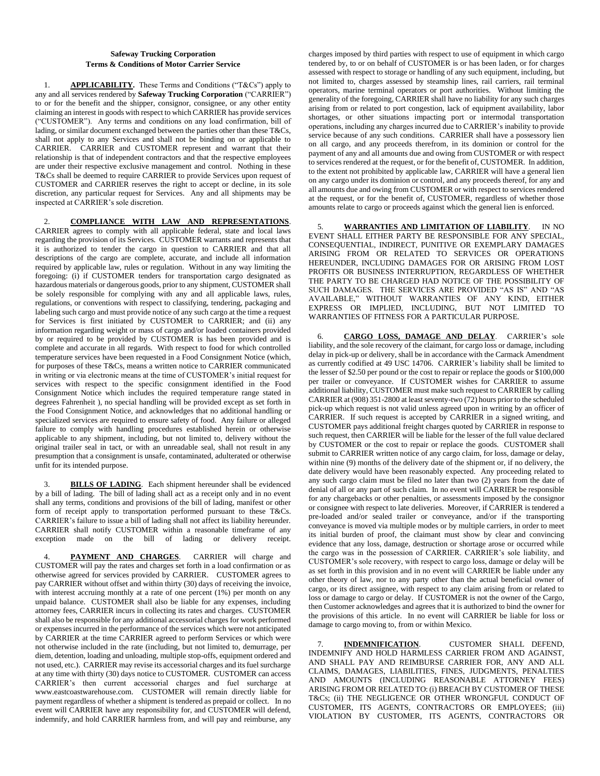## **Safeway Trucking Corporation Terms & Conditions of Motor Carrier Service**

1. **APPLICABILITY.** These Terms and Conditions ("T&Cs") apply to any and all services rendered by **Safeway Trucking Corporation** ("CARRIER") to or for the benefit and the shipper, consignor, consignee, or any other entity claiming an interest in goods with respect to which CARRIER has provide services ("CUSTOMER"). Any terms and conditions on any load confirmation, bill of lading, or similar document exchanged between the parties other than these T&Cs, shall not apply to any Services and shall not be binding on or applicable to CARRIER.CARRIER and CUSTOMER represent and warrant that their relationship is that of independent contractors and that the respective employees are under their respective exclusive management and control. Nothing in these T&Cs shall be deemed to require CARRIER to provide Services upon request of CUSTOMER and CARRIER reserves the right to accept or decline, in its sole discretion, any particular request for Services. Any and all shipments may be inspected at CARRIER's sole discretion.

2. **COMPLIANCE WITH LAW AND REPRESENTATIONS**. CARRIER agrees to comply with all applicable federal, state and local laws regarding the provision of its Services. CUSTOMER warrants and represents that it is authorized to tender the cargo in question to CARRIER and that all descriptions of the cargo are complete, accurate, and include all information required by applicable law, rules or regulation. Without in any way limiting the foregoing: (i) if CUSTOMER tenders for transportation cargo designated as hazardous materials or dangerous goods, prior to any shipment, CUSTOMER shall be solely responsible for complying with any and all applicable laws, rules, regulations, or conventions with respect to classifying, tendering, packaging and labeling such cargo and must provide notice of any such cargo at the time a request for Services is first initiated by CUSTOMER to CARRIER; and (ii) any information regarding weight or mass of cargo and/or loaded containers provided by or required to be provided by CUSTOMER is has been provided and is complete and accurate in all regards. With respect to food for which controlled temperature services have been requested in a Food Consignment Notice (which, for purposes of these T&Cs, means a written notice to CARRIER communicated in writing or via electronic means at the time of CUSTOMER's initial request for services with respect to the specific consignment identified in the Food Consignment Notice which includes the required temperature range stated in degrees Fahrenheit ), no special handling will be provided except as set forth in the Food Consignment Notice, and acknowledges that no additional handling or specialized services are required to ensure safety of food. Any failure or alleged failure to comply with handling procedures established herein or otherwise applicable to any shipment, including, but not limited to, delivery without the original trailer seal in tact, or with an unreadable seal, shall not result in any presumption that a consignment is unsafe, contaminated, adulterated or otherwise unfit for its intended purpose.

3. **BILLS OF LADING**. Each shipment hereunder shall be evidenced by a bill of lading. The bill of lading shall act as a receipt only and in no event shall any terms, conditions and provisions of the bill of lading, manifest or other form of receipt apply to transportation performed pursuant to these T&Cs. CARRIER's failure to issue a bill of lading shall not affect its liability hereunder. CARRIER shall notify CUSTOMER within a reasonable timeframe of any exception made on the bill of lading or delivery receipt.

PAYMENT AND CHARGES. CARRIER will charge and CUSTOMER will pay the rates and charges set forth in a load confirmation or as otherwise agreed for services provided by CARRIER. CUSTOMER agrees to pay CARRIER without offset and within thirty (30) days of receiving the invoice, with interest accruing monthly at a rate of one percent (1%) per month on any unpaid balance. CUSTOMER shall also be liable for any expenses, including attorney fees, CARRIER incurs in collecting its rates and charges. CUSTOMER shall also be responsible for any additional accessorial charges for work performed or expenses incurred in the performance of the services which were not anticipated by CARRIER at the time CARRIER agreed to perform Services or which were not otherwise included in the rate (including, but not limited to, demurrage, per diem, detention, loading and unloading, multiple stop-offs, equipment ordered and not used, etc.). CARRIER may revise its accessorial charges and its fuel surcharge at any time with thirty (30) days notice to CUSTOMER. CUSTOMER can access CARRIER's then current accessorial charges and fuel surcharge at www.eastcoastwarehouse.com. CUSTOMER will remain directly liable for payment regardless of whether a shipment is tendered as prepaid or collect. In no event will CARRIER have any responsibility for, and CUSTOMER will defend, indemnify, and hold CARRIER harmless from, and will pay and reimburse, any

charges imposed by third parties with respect to use of equipment in which cargo tendered by, to or on behalf of CUSTOMER is or has been laden, or for charges assessed with respect to storage or handling of any such equipment, including, but not limited to, charges assessed by steamship lines, rail carriers, rail terminal operators, marine terminal operators or port authorities. Without limiting the generality of the foregoing, CARRIER shall have no liability for any such charges arising from or related to port congestion, lack of equipment availability, labor shortages, or other situations impacting port or intermodal transportation operations, including any charges incurred due to CARRIER's inability to provide service because of any such conditions. CARRIER shall have a possessory lien on all cargo, and any proceeds therefrom, in its dominion or control for the payment of any and all amounts due and owing from CUSTOMER or with respect to services rendered at the request, or for the benefit of, CUSTOMER. In addition, to the extent not prohibited by applicable law, CARRIER will have a general lien on any cargo under its dominion or control, and any proceeds thereof, for any and all amounts due and owing from CUSTOMER or with respect to services rendered at the request, or for the benefit of, CUSTOMER, regardless of whether those amounts relate to cargo or proceeds against which the general lien is enforced.

5. **WARRANTIES AND LIMITATION OF LIABILITY**. IN NO EVENT SHALL EITHER PARTY BE RESPONSIBLE FOR ANY SPECIAL, CONSEQUENTIAL, INDIRECT, PUNITIVE OR EXEMPLARY DAMAGES ARISING FROM OR RELATED TO SERVICES OR OPERATIONS HEREUNDER, INCLUDING DAMAGES FOR OR ARISING FROM LOST PROFITS OR BUSINESS INTERRUPTION, REGARDLESS OF WHETHER THE PARTY TO BE CHARGED HAD NOTICE OF THE POSSIBILITY OF SUCH DAMAGES. THE SERVICES ARE PROVIDED "AS IS" AND "AS AVAILABLE," WITHOUT WARRANTIES OF ANY KIND, EITHER EXPRESS OR IMPLIED, INCLUDING, BUT NOT LIMITED TO WARRANTIES OF FITNESS FOR A PARTICULAR PURPOSE.

6. **CARGO LOSS, DAMAGE AND DELAY**. CARRIER's sole liability, and the sole recovery of the claimant, for cargo loss or damage, including delay in pick-up or delivery, shall be in accordance with the Carmack Amendment as currently codified at 49 USC 14706. CARRIER's liability shall be limited to the lesser of \$2.50 per pound or the cost to repair or replace the goods or \$100,000 per trailer or conveyance. If CUSTOMER wishes for CARRIER to assume additional liability, CUSTOMER must make such request to CARRIER by calling CARRIER at (908) 351-2800 at least seventy-two (72) hours prior to the scheduled pick-up which request is not valid unless agreed upon in writing by an officer of CARRIER. If such request is accepted by CARRIER in a signed writing, and CUSTOMER pays additional freight charges quoted by CARRIER in response to such request, then CARRIER will be liable for the lesser of the full value declared by CUSTOMER or the cost to repair or replace the goods. CUSTOMER shall submit to CARRIER written notice of any cargo claim, for loss, damage or delay, within nine (9) months of the delivery date of the shipment or, if no delivery, the date delivery would have been reasonably expected. Any proceeding related to any such cargo claim must be filed no later than two (2) years from the date of denial of all or any part of such claim. In no event will CARRIER be responsible for any chargebacks or other penalties, or assessments imposed by the consignor or consignee with respect to late deliveries. Moreover, if CARRIER is tendered a pre-loaded and/or sealed trailer or conveyance, and/or if the transporting conveyance is moved via multiple modes or by multiple carriers, in order to meet its initial burden of proof, the claimant must show by clear and convincing evidence that any loss, damage, destruction or shortage arose or occurred while the cargo was in the possession of CARRIER. CARRIER's sole liability, and CUSTOMER's sole recovery, with respect to cargo loss, damage or delay will be as set forth in this provision and in no event will CARRIER be liable under any other theory of law, nor to any party other than the actual beneficial owner of cargo, or its direct assignee, with respect to any claim arising from or related to loss or damage to cargo or delay. If CUSTOMER is not the owner of the Cargo, then Customer acknowledges and agrees that it is authorized to bind the owner for the provisions of this article. In no event will CARRIER be liable for loss or damage to cargo moving to, from or within Mexico.

7. **INDEMNIFICATION**. CUSTOMER SHALL DEFEND, INDEMNIFY AND HOLD HARMLESS CARRIER FROM AND AGAINST, AND SHALL PAY AND REIMBURSE CARRIER FOR, ANY AND ALL CLAIMS, DAMAGES, LIABILITIES, FINES, JUDGMENTS, PENALTIES AND AMOUNTS (INCLUDING REASONABLE ATTORNEY FEES) ARISING FROM OR RELATED TO: (i) BREACH BY CUSTOMER OF THESE T&Cs; (ii) THE NEGLIGENCE OR OTHER WRONGFUL CONDUCT OF CUSTOMER, ITS AGENTS, CONTRACTORS OR EMPLOYEES; (iii) VIOLATION BY CUSTOMER, ITS AGENTS, CONTRACTORS OR